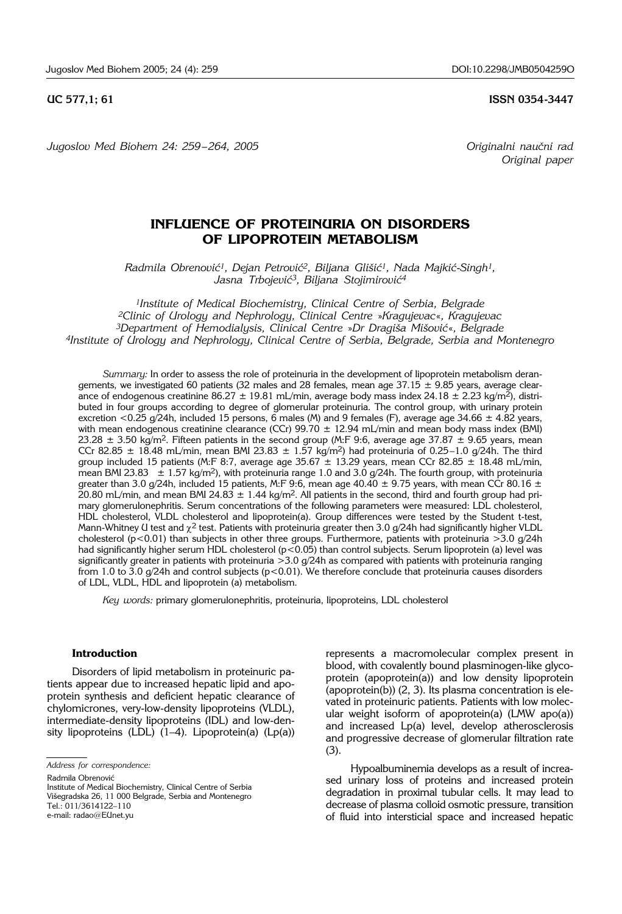**UC 577.1: 61 ISSN 0354-3447** 

*Jugoslov Med Biohem 24: 259 – 264, 2005 Originalni nau~ni rad*

*Original paper*

# **INFLUENCE OF PROTEINURIA ON DISORDERS OF LIPOPROTEIN METABOLISM**

*Radmila Obrenovi}1, Dejan Petrovi}2, Biljana Gli{i}1, Nada Majki}*-*Singh1,* Jasna Trbojević<sup>3</sup>, Biljana Stojimirović<sup>4</sup>

*1Institute of Medical Biochemistry, Clinical Centre of Serbia, Belgrade 2Clinic of Urology and Nephrology, Clinical Centre* »*Kragujevac*«*, Kragujevac 3Department of Hemodialysis, Clinical Centre* »*Dr Dragi{a Mi{ovi}*«*, Belgrade 4Institute of Urology and Nephrology, Clinical Centre of Serbia, Belgrade, Serbia and Montenegro*

*Summary:* In order to assess the role of proteinuria in the development of lipoprotein metabolism derangements, we investigated 60 patients (32 males and 28 females, mean age 37.15  $\pm$  9.85 years, average clearance of endogenous creatinine 86.27  $\pm$  19.81 mL/min, average body mass index 24.18  $\pm$  2.23 kg/m<sup>2</sup>), distributed in four groups according to degree of glomerular proteinuria. The control group, with urinary protein excretion <0.25 g/24h, included 15 persons, 6 males (M) and 9 females (F), average age 34.66  $\pm$  4.82 years, with mean endogenous creatinine clearance (CCr)  $99.70 \pm 12.94$  mL/min and mean body mass index (BMI) 23.28  $\pm$  3.50 kg/m<sup>2</sup>. Fifteen patients in the second group (M:F 9:6, average age 37.87  $\pm$  9.65 years, mean CCr 82.85  $\pm$  18.48 mL/min, mean BMI 23.83  $\pm$  1.57 kg/m<sup>2</sup>) had proteinuria of 0.25–1.0 g/24h. The third group included 15 patients (M:F 8:7, average age 35.67  $\pm$  13.29 years, mean CCr 82.85  $\pm$  18.48 mL/min, mean BMI 23.83  $\pm$  1.57 kg/m<sup>2</sup>), with proteinuria range 1.0 and 3.0 g/24h. The fourth group, with proteinuria greater than 3.0 g/24h, included 15 patients, M:F 9:6, mean age 40.40  $\pm$  9.75 years, with mean CCr 80.16  $\pm$ 20.80 mL/min, and mean BMI 24.83  $\pm$  1.44 kg/m<sup>2</sup>. All patients in the second, third and fourth group had primary glomerulonephritis. Serum concentrations of the following parameters were measured: LDL cholesterol, HDL cholesterol, VLDL cholesterol and lipoprotein(a). Group differences were tested by the Student t-test, Mann-Whitney U test and  $\gamma^2$  test. Patients with proteinuria greater then 3.0 g/24h had significantly higher VLDL cholesterol ( $p$ <0.01) than subjects in other three groups. Furthermore, patients with proteinuria >3.0  $q/24h$ had significantly higher serum HDL cholesterol (p<0.05) than control subjects. Serum lipoprotein (a) level was significantly greater in patients with proteinuria >3.0 g/24h as compared with patients with proteinuria ranging from 1.0 to 3.0  $g$ /24h and control subjects (p<0.01). We therefore conclude that proteinuria causes disorders of LDL, VLDL, HDL and lipoprotein (a) metabolism.

*Key words:* primary glomerulonephritis, proteinuria, lipoproteins, LDL cholesterol

## **Introduction**

Disorders of lipid metabolism in proteinuric patients appear due to increased hepatic lipid and apoprotein synthesis and deficient hepatic clearance of chylomicrones, very-low-density lipoproteins (VLDL), intermediate-density lipoproteins (IDL) and low-density lipoproteins (LDL)  $(1-4)$ . Lipoprotein(a)  $(Lp(a))$ 

Radmila Obrenović

represents a macromolecular complex present in blood, with covalently bound plasminogen-like glycoprotein (apoprotein(a)) and low density lipoprotein (apoprotein(b)) (2, 3). Its plasma concentration is elevated in proteinuric patients. Patients with low molecular weight isoform of apoprotein(a) (LMW apo(a)) and increased Lp(a) level, develop atherosclerosis and progressive decrease of glomerular filtration rate (3).

Hypoalbuminemia develops as a result of increased urinary loss of proteins and increased protein degradation in proximal tubular cells. It may lead to decrease of plasma colloid osmotic pressure, transition of fluid into intersticial space and increased hepatic

*Address for correspondence:*

Institute of Medical Biochemistry, Clinical Centre of Serbia Višegradska 26, 11 000 Belgrade, Serbia and Montenegro Tel.: 011/3614122–110 e-mail: radao@EUnet.yu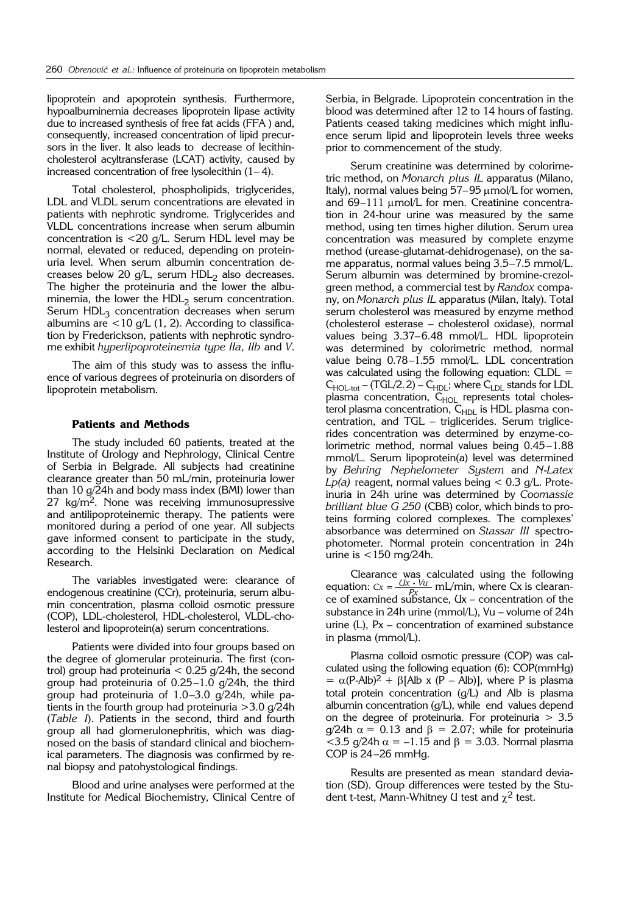lipoprotein and apoprotein synthesis. Furthermore, hypoalbuminemia decreases lipoprotein lipase activity due to increased synthesis of free fat acids (FFA ) and, consequently, increased concentration of lipid precursors in the liver. It also leads to decrease of lecithincholesterol acyltransferase (LCAT) activity, caused by increased concentration of free lysolecithin  $(1-4)$ .

Total cholesterol, phospholipids, triglycerides, LDL and VLDL serum concentrations are elevated in patients with nephrotic syndrome. Triglycerides and VLDL concentrations increase when serum albumin concentration is <20 g/L. Serum HDL level may be normal, elevated or reduced, depending on proteinuria level. When serum albumin concentration decreases below 20 g/L, serum  $HDL<sub>2</sub>$  also decreases. The higher the proteinuria and the lower the albuminemia, the lower the  $HDL<sub>2</sub>$  serum concentration. Serum  $HDL<sub>3</sub>$  concentration decreases when serum albumins are  $<$ 10 g/L (1, 2). According to classification by Frederickson, patients with nephrotic syndrome exhibit *hyperlipoproteinemia type IIa, IIb* and *V*.

The aim of this study was to assess the influence of various degrees of proteinuria on disorders of lipoprotein metabolism.

## **Patients and Methods**

The study included 60 patients, treated at the Institute of Urology and Nephrology, Clinical Centre of Serbia in Belgrade. All subjects had creatinine clearance greater than 50 mL/min, proteinuria lower than 10 g/24h and body mass index (BMI) lower than  $27 \text{ kg/m}^2$ . None was receiving immunosupressive and antilipoproteinemic therapy. The patients were monitored during a period of one year. All subjects gave informed consent to participate in the study, according to the Helsinki Declaration on Medical Research.

The variables investigated were: clearance of endogenous creatinine (CCr), proteinuria, serum albumin concentration, plasma colloid osmotic pressure (COP), LDL-cholesterol, HDL-cholesterol, VLDL-cholesterol and lipoprotein(a) serum concentrations.

Patients were divided into four groups based on the degree of glomerular proteinuria. The first (control) group had proteinuria  $< 0.25$  g/24h, the second group had proteinuria of 0.25–1.0 g/24h, the third group had proteinuria of 1.0–3.0 g/24h, while patients in the fourth group had proteinuria >3.0 g/24h (*Table I*). Patients in the second, third and fourth group all had glomerulonephritis, which was diagnosed on the basis of standard clinical and biochemical parameters. The diagnosis was confirmed by renal biopsy and patohystological findings.

Blood and urine analyses were performed at the Institute for Medical Biochemistry, Clinical Centre of Serbia, in Belgrade. Lipoprotein concentration in the blood was determined after 12 to 14 hours of fasting. Patients ceased taking medicines which might influence serum lipid and lipoprotein levels three weeks prior to commencement of the study.

Serum creatinine was determined by colorimetric method, on *Monarch plus IL* apparatus (Milano, Italy), normal values being  $57-95 \mu$ mol/L for women, and 69–111 µmol/L for men. Creatinine concentration in 24-hour urine was measured by the same method, using ten times higher dilution. Serum urea concentration was measured by complete enzyme method (urease-glutamat-dehidrogenase), on the same apparatus, normal values being 3.5–7.5 mmol/L. Serum albumin was determined by bromine-crezolgreen method, a commercial test by *Randox* company, on *Monarch plus IL* apparatus (Milan, Italy). Total serum cholesterol was measured by enzyme method (cholesterol esterase – cholesterol oxidase), normal values being 3.37–6.48 mmol/L. HDL lipoprotein was determined by colorimetric method, normal value being 0.78–1.55 mmol/L. LDL concentration was calculated using the following equation:  $CLDL =$  $C_{HOL-tot}$  – (TGL/2.2) –  $C_{HDL}$ ; where  $C_{LDL}$  stands for LDL plasma concentration, C<sub>HOL</sub> represents total cholesterol plasma concentration, C<sub>HDL</sub> is HDL plasma concentration, and TGL – triglicerides. Serum triglicerides concentration was determined by enzyme-colorimetric method, normal values being 0.45–1.88 mmol/L. Serum lipoprotein(a) level was determined by *Behring Nephelometer System* and *N*-*Latex Lp(a)* reagent, normal values being < 0.3 g/L. Proteinuria in 24h urine was determined by *Coomassie brilliant blue G 250* (CBB) color, which binds to proteins forming colored complexes. The complexes' absorbance was determined on *Stassar III* spectrophotometer. Normal protein concentration in 24h urine is <150 mg/24h.

Clearance was calculated using the following equation:  $Cx = \frac{Ux \cdot Vu}{D_x}$  mL/min, where Cx is clearance of examined substance,  $Ux$  – concentration of the substance in 24h urine (mmol/L), Vu – volume of 24h urine (L), Px – concentration of examined substance in plasma (mmol/L). *Px*

Plasma colloid osmotic pressure (COP) was calculated using the following equation (6): COP(mmHg)  $= \alpha (P - Alb)^2 + \beta [Alb \times (P - Alb)],$  where P is plasma total protein concentration  $(q/L)$  and Alb is plasma albumin concentration (g/L), while end values depend on the degree of proteinuria. For proteinuria > 3.5 g/24h  $\alpha$  = 0.13 and  $\beta$  = 2.07; while for proteinuria <3.5 g/24h  $\alpha$  = -1.15 and  $\beta$  = 3.03. Normal plasma COP is 24–26 mmHg.

Results are presented as mean standard deviation (SD). Group differences were tested by the Student t-test, Mann-Whitney U test and  $\chi^2$  test.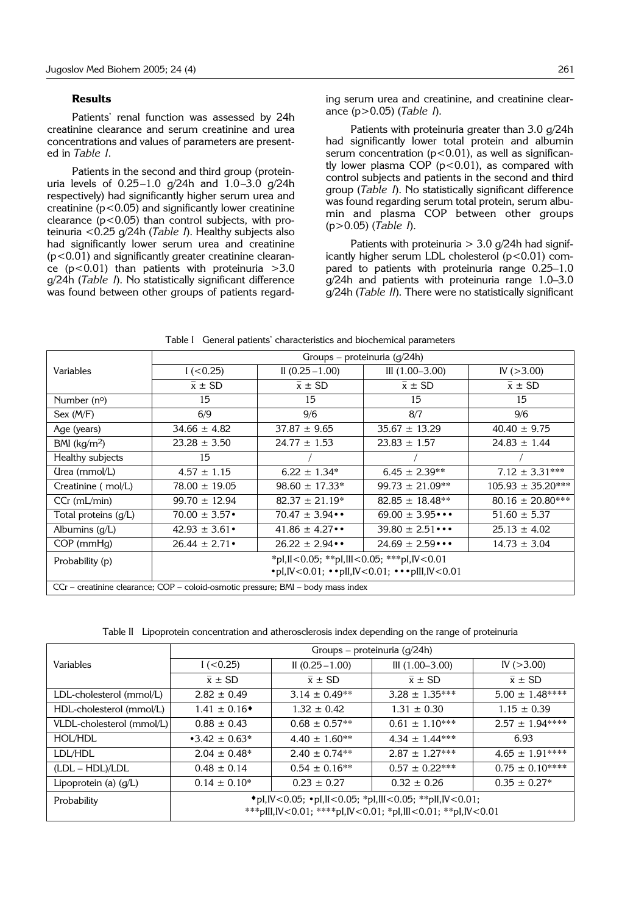#### **Results**

Patients' renal function was assessed by 24h creatinine clearance and serum creatinine and urea concentrations and values of parameters are presented in *Table I*.

Patients in the second and third group (proteinuria levels of  $0.25-1.0$  g/24h and  $1.0-3.0$  g/24h respectively) had significantly higher serum urea and creatinine ( $p$ <0.05) and significantly lower creatinine clearance  $(p<0.05)$  than control subjects, with proteinuria <0.25 g/24h (*Table I*). Healthy subjects also had significantly lower serum urea and creatinine  $(p<0.01)$  and significantly greater creatinine clearance ( $p$ <0.01) than patients with proteinuria >3.0 g/24h (*Table I*). No statistically significant difference was found between other groups of patients regarding serum urea and creatinine, and creatinine clearance (p>0.05) (*Table I*).

Patients with proteinuria greater than 3.0 g/24h had significantly lower total protein and albumin serum concentration  $(p<0.01)$ , as well as significantly lower plasma COP  $(p<0.01)$ , as compared with control subjects and patients in the second and third group (*Table I*). No statistically significant difference was found regarding serum total protein, serum albumin and plasma COP between other groups (p>0.05) (*Table I*).

Patients with proteinuria  $>$  3.0 g/24h had significantly higher serum LDL cholesterol  $(p<0.01)$  compared to patients with proteinuria range 0.25–1.0 g/24h and patients with proteinuria range 1.0–3.0 g/24h (*Table II*). There were no statistically significant

|                                                                                  | Groups – proteinuria $(q/24h)$                                                           |                         |                           |                       |  |  |
|----------------------------------------------------------------------------------|------------------------------------------------------------------------------------------|-------------------------|---------------------------|-----------------------|--|--|
| Variables                                                                        | $1 (-0.25)$                                                                              | II $(0.25 - 1.00)$      | III $(1.00 - 3.00)$       | IV $( > 3.00)$        |  |  |
|                                                                                  | $\bar{x} \pm SD$                                                                         | $\bar{x} \pm SD$        | $\bar{x} \pm SD$          | $\bar{x} \pm SD$      |  |  |
| Number (n <sup>o</sup> )                                                         | 15                                                                                       | 15                      | 15                        | 15                    |  |  |
| Sex (M/F)                                                                        | 6/9                                                                                      | 9/6                     | 8/7                       | 9/6                   |  |  |
| Age (years)                                                                      | $34.66 \pm 4.82$                                                                         | $37.87 \pm 9.65$        | $35.67 \pm 13.29$         | $40.40 \pm 9.75$      |  |  |
| BMI $(kg/m2)$                                                                    | $23.28 \pm 3.50$                                                                         | $24.77 \pm 1.53$        | $23.83 \pm 1.57$          | $24.83 \pm 1.44$      |  |  |
| Healthy subjects                                                                 | 15                                                                                       |                         |                           |                       |  |  |
| (Irea (mmol/L)                                                                   | $4.57 \pm 1.15$                                                                          | $6.22 \pm 1.34^*$       | $6.45 \pm 2.39**$         | $7.12 \pm 3.31***$    |  |  |
| Creatinine ( mol/L)                                                              | $78.00 \pm 19.05$                                                                        | $98.60 \pm 17.33*$      | $99.73 \pm 21.09**$       | $105.93 \pm 35.20***$ |  |  |
| $CCr$ (mL/min)                                                                   | $99.70 \pm 12.94$                                                                        | $82.37 \pm 21.19^*$     | $82.85 \pm 18.48**$       | $80.16 \pm 20.80***$  |  |  |
| Total proteins $(q/L)$                                                           | $70.00 \pm 3.57$ •                                                                       | $70.47 \pm 3.94 \cdots$ | 69.00 $\pm$ 3.95 $\cdots$ | $51.60 \pm 5.37$      |  |  |
| Albumins $(g/L)$                                                                 | $42.93 \pm 3.61$                                                                         | $41.86 \pm 4.27 \cdots$ | $39.80 \pm 2.51 \cdots$   | $25.13 \pm 4.02$      |  |  |
| $COP$ (mm $Hg$ )                                                                 | $26.44 \pm 2.71$                                                                         | $26.22 \pm 2.94 \cdots$ | $24.69 \pm 2.59 \cdots$   | $14.73 \pm 3.04$      |  |  |
| Probability (p)                                                                  | *pl,ll<0.05; **pl,lll<0.05; ***pl,lV<0.01                                                |                         |                           |                       |  |  |
|                                                                                  | $\cdot$ pl, IV < 0.01; $\cdot \cdot$ pll, IV < 0.01; $\cdot \cdot \cdot$ plll, IV < 0.01 |                         |                           |                       |  |  |
| CCr – creatinine clearance; COP – coloid-osmotic pressure; BMI – body mass index |                                                                                          |                         |                           |                       |  |  |

Table I General patients' characteristics and biochemical parameters

Table II Lipoprotein concentration and atherosclerosis index depending on the range of proteinuria

|                           | Groups – proteinuria (g/24h)                                                                                                               |                    |                    |                    |  |
|---------------------------|--------------------------------------------------------------------------------------------------------------------------------------------|--------------------|--------------------|--------------------|--|
| Variables                 | $1 (-0.25)$                                                                                                                                | II $(0.25 - 1.00)$ | III $(1.00-3.00)$  | IV $(>3.00)$       |  |
|                           | $\bar{x} \pm SD$                                                                                                                           | $\bar{x} \pm SD$   | $\bar{x} \pm SD$   | $\bar{x} \pm SD$   |  |
| LDL-cholesterol (mmol/L)  | $2.82 \pm 0.49$                                                                                                                            | $3.14 \pm 0.49**$  | $3.28 \pm 1.35***$ | $5.00 \pm 1.48***$ |  |
| HDL-cholesterol (mmol/L)  | $1.41 \pm 0.16$ <sup>*</sup>                                                                                                               | $1.32 \pm 0.42$    | $1.31 \pm 0.30$    | $1.15 \pm 0.39$    |  |
| VLDL-cholesterol (mmol/L) | $0.88 \pm 0.43$                                                                                                                            | $0.68 \pm 0.57**$  | $0.61 \pm 1.10***$ | $2.57 \pm 1.94***$ |  |
| HOL/HDL                   | • 3.42 $\pm$ 0.63*                                                                                                                         | $4.40 \pm 1.60**$  | $4.34 \pm 1.44***$ | 6.93               |  |
| LDL/HDL                   | $2.04 \pm 0.48^*$                                                                                                                          | $2.40 \pm 0.74**$  | $2.87 \pm 1.27***$ | $4.65 \pm 1.91***$ |  |
| (LDL – HDL)/LDL           | $0.48 \pm 0.14$                                                                                                                            | $0.54 \pm 0.16**$  | $0.57 \pm 0.22***$ | $0.75 \pm 0.10***$ |  |
| Lipoprotein (a) (g/L)     | $0.14 \pm 0.10^*$                                                                                                                          | $0.23 \pm 0.27$    | $0.32 \pm 0.26$    | $0.35 \pm 0.27$ *  |  |
| Probability               | ◆ pl, IV < 0.05; • pl, II < 0.05; * pl, III < 0.05; * * pll, IV < 0.01;<br>***plll, IV<0.01; ****pl, IV<0.01; *pl, III<0.01; **pl, IV<0.01 |                    |                    |                    |  |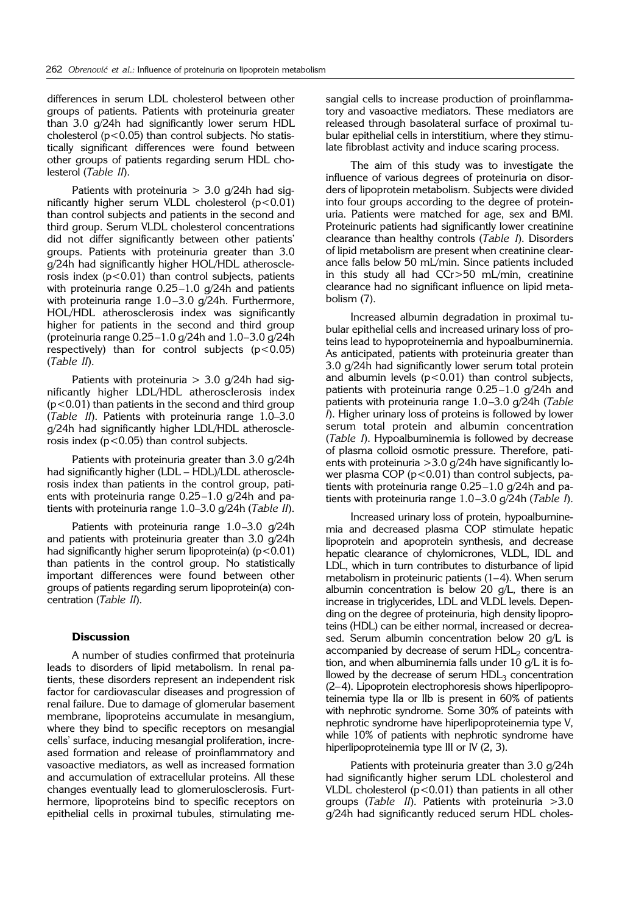differences in serum LDL cholesterol between other groups of patients. Patients with proteinuria greater than 3.0 g/24h had significantly lower serum HDL cholesterol  $(p<0.05)$  than control subjects. No statistically significant differences were found between other groups of patients regarding serum HDL cholesterol (*Table II*).

Patients with proteinuria  $>$  3.0 g/24h had significantly higher serum VLDL cholesterol  $(p<0.01)$ than control subjects and patients in the second and third group. Serum VLDL cholesterol concentrations did not differ significantly between other patients' groups. Patients with proteinuria greater than 3.0 g/24h had significantly higher HOL/HDL atherosclerosis index  $(p<0.01)$  than control subjects, patients with proteinuria range 0.25–1.0 g/24h and patients with proteinuria range 1.0–3.0 g/24h. Furthermore, HOL/HDL atherosclerosis index was significantly higher for patients in the second and third group (proteinuria range 0.25–1.0 g/24h and 1.0–3.0 g/24h respectively) than for control subjects  $(p<0.05)$ (*Table II*).

Patients with proteinuria  $>$  3.0 g/24h had significantly higher LDL/HDL atherosclerosis index (p<0.01) than patients in the second and third group (*Table II*). Patients with proteinuria range 1.0–3.0 g/24h had significantly higher LDL/HDL atherosclerosis index (p<0.05) than control subjects.

Patients with proteinuria greater than 3.0 g/24h had significantly higher (LDL – HDL)/LDL atherosclerosis index than patients in the control group, patients with proteinuria range 0.25–1.0 g/24h and patients with proteinuria range 1.0–3.0 g/24h (*Table II*).

Patients with proteinuria range 1.0–3.0 g/24h and patients with proteinuria greater than 3.0  $q/24h$ had significantly higher serum lipoprotein(a)  $(p<0.01)$ than patients in the control group. No statistically important differences were found between other groups of patients regarding serum lipoprotein(a) concentration (*Table II*).

## **Discussion**

A number of studies confirmed that proteinuria leads to disorders of lipid metabolism. In renal patients, these disorders represent an independent risk factor for cardiovascular diseases and progression of renal failure. Due to damage of glomerular basement membrane, lipoproteins accumulate in mesangium, where they bind to specific receptors on mesangial cells' surface, inducing mesangial proliferation, increased formation and release of proinflammatory and vasoactive mediators, as well as increased formation and accumulation of extracellular proteins. All these changes eventually lead to glomerulosclerosis. Furthermore, lipoproteins bind to specific receptors on epithelial cells in proximal tubules, stimulating mesangial cells to increase production of proinflammatory and vasoactive mediators. These mediators are released through basolateral surface of proximal tubular epithelial cells in interstitium, where they stimulate fibroblast activity and induce scaring process.

The aim of this study was to investigate the influence of various degrees of proteinuria on disorders of lipoprotein metabolism. Subjects were divided into four groups according to the degree of proteinuria. Patients were matched for age, sex and BMI. Proteinuric patients had significantly lower creatinine clearance than healthy controls (*Table I*). Disorders of lipid metabolism are present when creatinine clearance falls below 50 mL/min. Since patients included in this study all had CCr>50 mL/min, creatinine clearance had no significant influence on lipid metabolism (7).

Increased albumin degradation in proximal tubular epithelial cells and increased urinary loss of proteins lead to hypoproteinemia and hypoalbuminemia. As anticipated, patients with proteinuria greater than 3.0 g/24h had significantly lower serum total protein and albumin levels  $(p<0.01)$  than control subjects, patients with proteinuria range 0.25–1.0 g/24h and patients with proteinuria range 1.0–3.0 g/24h (*Table I*). Higher urinary loss of proteins is followed by lower serum total protein and albumin concentration (*Table I*). Hypoalbuminemia is followed by decrease of plasma colloid osmotic pressure. Therefore, patients with proteinuria  $>$ 3.0  $q/24$ h have significantly lower plasma COP ( $p$ <0.01) than control subjects, patients with proteinuria range 0.25–1.0 g/24h and patients with proteinuria range 1.0–3.0 g/24h (*Table I*).

Increased urinary loss of protein, hypoalbuminemia and decreased plasma COP stimulate hepatic lipoprotein and apoprotein synthesis, and decrease hepatic clearance of chylomicrones, VLDL, IDL and LDL, which in turn contributes to disturbance of lipid metabolism in proteinuric patients (1–4). When serum albumin concentration is below 20  $g/L$ , there is an increase in triglycerides, LDL and VLDL levels. Depending on the degree of proteinuria, high density lipoproteins (HDL) can be either normal, increased or decreased. Serum albumin concentration below 20 g/L is accompanied by decrease of serum HDL<sub>2</sub> concentration, and when albuminemia falls under 10 g/L it is followed by the decrease of serum  $HDL<sub>3</sub>$  concentration (2–4). Lipoprotein electrophoresis shows hiperlipoproteinemia type IIa or IIb is present in 60% of patients with nephrotic syndrome. Some 30% of pateints with nephrotic syndrome have hiperlipoproteinemia type V, while 10% of patients with nephrotic syndrome have hiperlipoproteinemia type III or IV (2, 3).

Patients with proteinuria greater than 3.0 g/24h had significantly higher serum LDL cholesterol and VLDL cholesterol  $(p<0.01)$  than patients in all other groups (*Table II*). Patients with proteinuria >3.0 g/24h had significantly reduced serum HDL choles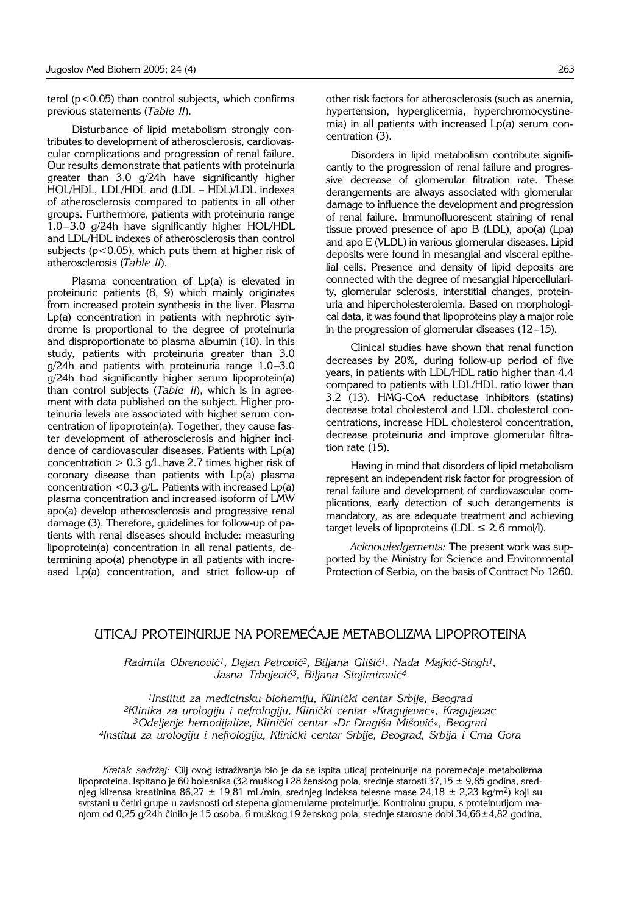terol (p<0.05) than control subjects, which confirms previous statements (*Table II*).

Disturbance of lipid metabolism strongly contributes to development of atherosclerosis, cardiovascular complications and progression of renal failure. Our results demonstrate that patients with proteinuria greater than 3.0 g/24h have significantly higher HOL/HDL, LDL/HDL and (LDL – HDL)/LDL indexes of atherosclerosis compared to patients in all other groups. Furthermore, patients with proteinuria range 1.0–3.0 g/24h have significantly higher HOL/HDL and LDL/HDL indexes of atherosclerosis than control subjects (p<0.05), which puts them at higher risk of atherosclerosis (*Table II*).

Plasma concentration of Lp(a) is elevated in proteinuric patients (8, 9) which mainly originates from increased protein synthesis in the liver. Plasma Lp(a) concentration in patients with nephrotic syndrome is proportional to the degree of proteinuria and disproportionate to plasma albumin (10). In this study, patients with proteinuria greater than 3.0 g/24h and patients with proteinuria range 1.0–3.0 g/24h had significantly higher serum lipoprotein(a) than control subjects (*Table II*), which is in agreement with data published on the subject. Higher proteinuria levels are associated with higher serum concentration of lipoprotein(a). Together, they cause faster development of atherosclerosis and higher incidence of cardiovascular diseases. Patients with Lp(a) concentration  $> 0.3$  g/L have 2.7 times higher risk of coronary disease than patients with Lp(a) plasma concentration  $<$  0.3  $q/L$ . Patients with increased Lp(a) plasma concentration and increased isoform of LMW apo(a) develop atherosclerosis and progressive renal damage (3). Therefore, guidelines for follow-up of patients with renal diseases should include: measuring lipoprotein(a) concentration in all renal patients, determining apo(a) phenotype in all patients with increased Lp(a) concentration, and strict follow-up of other risk factors for atherosclerosis (such as anemia, hypertension, hyperglicemia, hyperchromocystinemia) in all patients with increased Lp(a) serum concentration (3).

Disorders in lipid metabolism contribute significantly to the progression of renal failure and progressive decrease of glomerular filtration rate. These derangements are always associated with glomerular damage to influence the development and progression of renal failure. Immunofluorescent staining of renal tissue proved presence of apo B (LDL), apo(a) (Lpa) and apo E (VLDL) in various glomerular diseases. Lipid deposits were found in mesangial and visceral epithelial cells. Presence and density of lipid deposits are connected with the degree of mesangial hipercellularity, glomerular sclerosis, interstitial changes, proteinuria and hipercholesterolemia. Based on morphological data, it was found that lipoproteins play a major role in the progression of glomerular diseases (12–15).

Clinical studies have shown that renal function decreases by 20%, during follow-up period of five years, in patients with LDL/HDL ratio higher than 4.4 compared to patients with LDL/HDL ratio lower than 3.2 (13). HMG-CoA reductase inhibitors (statins) decrease total cholesterol and LDL cholesterol concentrations, increase HDL cholesterol concentration, decrease proteinuria and improve glomerular filtration rate (15).

Having in mind that disorders of lipid metabolism represent an independent risk factor for progression of renal failure and development of cardiovascular complications, early detection of such derangements is mandatory, as are adequate treatment and achieving target levels of lipoproteins (LDL  $\leq$  2.6 mmol/l).

*Acknowledgements:* The present work was supported by the Ministry for Science and Environmental Protection of Serbia, on the basis of Contract No 1260.

## UTICAJ PROTEINURIJE NA POREMEĆAJE METABOLIZMA LIPOPROTEINA

*Radmila Obrenovi}1, Dejan Petrovi}2, Biljana Gli{i}1, Nada Majki}*-*Singh1,* Jasna Trbojević<sup>3</sup>, Biljana Stojimirović<sup>4</sup>

*1Institut za medicinsku biohemiju, Klini~ki centar Srbije, Beograd 2Klinika za urologiju i nefrologiju, Klini~ki centar* »*Kragujevac*«*, Kragujevac 3Odeljenje hemodijalize, Klini~ki centar* »*Dr Dragi{a Mi{ovi}*«*, Beograd 4Institut za urologiju i nefrologiju, Klini~ki centar Srbije, Beograd, Srbija i Crna Gora* 

*Kratak sadržaj: Cilj ovog istraživanja bio je da se ispita uticaj proteinurije na poremećaje metabolizma* lipoproteina. Ispitano je 60 bolesnika (32 muškog i 28 ženskog pola, srednje starosti 37,15  $\pm$  9,85 godina, srednjeg klirensa kreatinina 86,27  $\pm$  19,81 mL/min, srednjeg indeksa telesne mase 24,18  $\pm$  2,23 kg/m<sup>2</sup>) koji su svrstani u četiri grupe u zavisnosti od stepena glomerularne proteinurije. Kontrolnu grupu, s proteinurijom manjom od 0,25 g/24h činilo je 15 osoba, 6 muškog i 9 ženskog pola, srednje starosne dobi 34,66±4,82 godina,